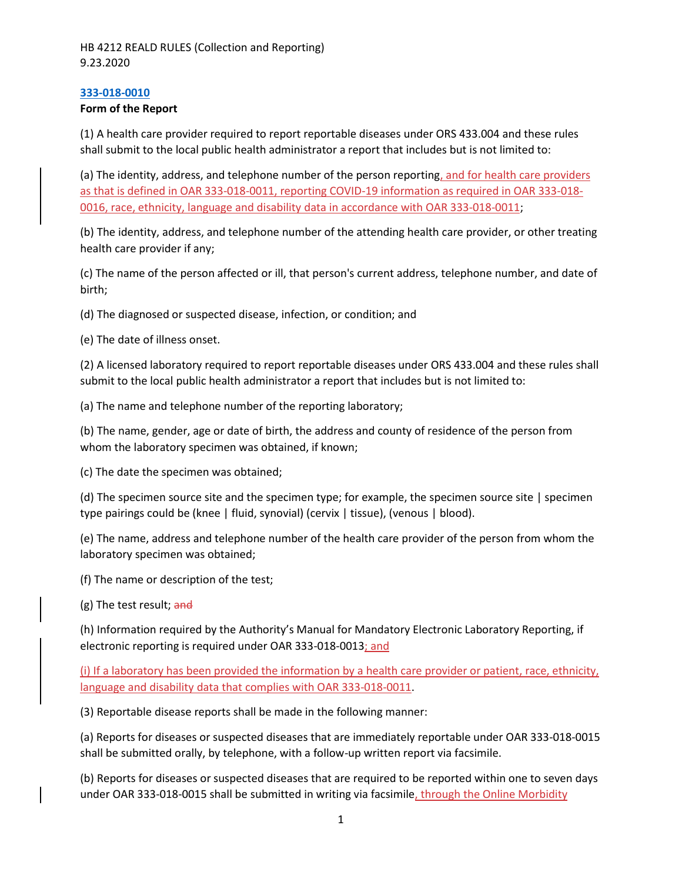### **[333-018-0010](https://secure.sos.state.or.us/oard/viewSingleRule.action?ruleVrsnRsn=53729)**

### **Form of the Report**

(1) A health care provider required to report reportable diseases under ORS 433.004 and these rules shall submit to the local public health administrator a report that includes but is not limited to:

(a) The identity, address, and telephone number of the person reporting, and for health care providers as that is defined in OAR 333-018-0011, reporting COVID-19 information as required in OAR 333-018- 0016, race, ethnicity, language and disability data in accordance with OAR 333-018-0011;

(b) The identity, address, and telephone number of the attending health care provider, or other treating health care provider if any;

(c) The name of the person affected or ill, that person's current address, telephone number, and date of birth;

(d) The diagnosed or suspected disease, infection, or condition; and

(e) The date of illness onset.

(2) A licensed laboratory required to report reportable diseases under ORS 433.004 and these rules shall submit to the local public health administrator a report that includes but is not limited to:

(a) The name and telephone number of the reporting laboratory;

(b) The name, gender, age or date of birth, the address and county of residence of the person from whom the laboratory specimen was obtained, if known;

(c) The date the specimen was obtained;

(d) The specimen source site and the specimen type; for example, the specimen source site | specimen type pairings could be (knee | fluid, synovial) (cervix | tissue), (venous | blood).

(e) The name, address and telephone number of the health care provider of the person from whom the laboratory specimen was obtained;

(f) The name or description of the test;

(g) The test result; and

(h) Information required by the Authority's Manual for Mandatory Electronic Laboratory Reporting, if electronic reporting is required under OAR 333-018-0013; and

(i) If a laboratory has been provided the information by a health care provider or patient, race, ethnicity, language and disability data that complies with OAR 333-018-0011.

(3) Reportable disease reports shall be made in the following manner:

(a) Reports for diseases or suspected diseases that are immediately reportable under OAR 333-018-0015 shall be submitted orally, by telephone, with a follow-up written report via facsimile.

(b) Reports for diseases or suspected diseases that are required to be reported within one to seven days under OAR 333-018-0015 shall be submitted in writing via facsimile, through the Online Morbidity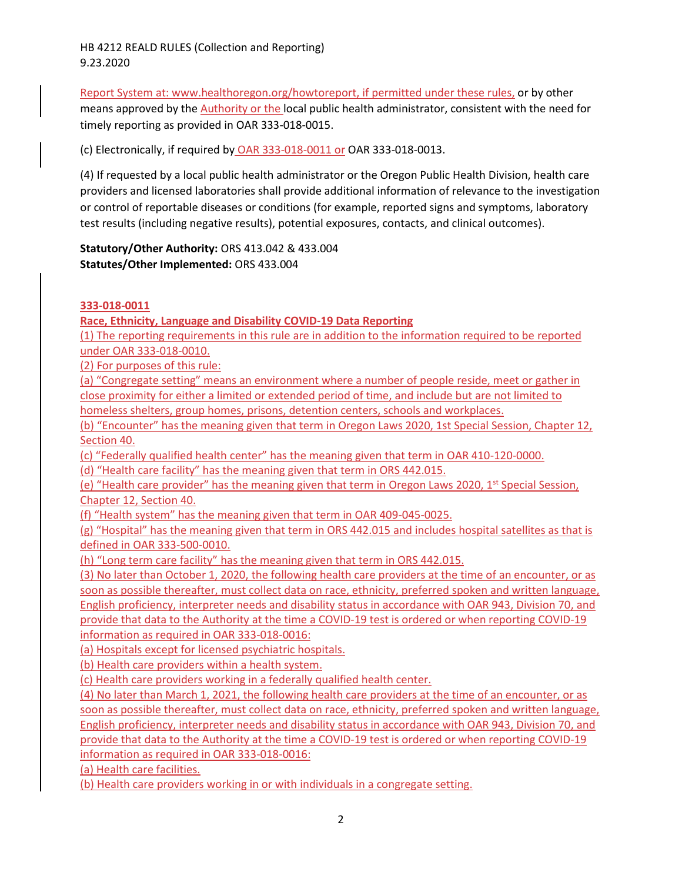HB 4212 REALD RULES (Collection and Reporting) 9.23.2020

Report System at: [www.healthoregon.org/howtoreport,](http://www.healthoregon.org/howtoreport) if permitted under these rules, or by other means approved by the Authority or the local public health administrator, consistent with the need for timely reporting as provided in OAR 333-018-0015.

(c) Electronically, if required by OAR 333-018-0011 or OAR 333-018-0013.

(4) If requested by a local public health administrator or the Oregon Public Health Division, health care providers and licensed laboratories shall provide additional information of relevance to the investigation or control of reportable diseases or conditions (for example, reported signs and symptoms, laboratory test results (including negative results), potential exposures, contacts, and clinical outcomes).

**Statutory/Other Authority:** ORS 413.042 & 433.004 **Statutes/Other Implemented:** ORS 433.004

### **333-018-0011**

**Race, Ethnicity, Language and Disability COVID-19 Data Reporting**

(1) The reporting requirements in this rule are in addition to the information required to be reported under OAR 333-018-0010.

(2) For purposes of this rule:

(a) "Congregate setting" means an environment where a number of people reside, meet or gather in close proximity for either a limited or extended period of time, and include but are not limited to homeless shelters, group homes, prisons, detention centers, schools and workplaces.

(b) "Encounter" has the meaning given that term in Oregon Laws 2020, 1st Special Session, Chapter 12, Section 40.

(c) "Federally qualified health center" has the meaning given that term in OAR 410-120-0000.

(d) "Health care facility" has the meaning given that term in ORS 442.015.

(e) "Health care provider" has the meaning given that term in Oregon Laws 2020, 1<sup>st</sup> Special Session, Chapter 12, Section 40.

(f) "Health system" has the meaning given that term in OAR 409-045-0025.

(g) "Hospital" has the meaning given that term in ORS 442.015 and includes hospital satellites as that is defined in OAR 333-500-0010.

(h) "Long term care facility" has the meaning given that term in ORS 442.015.

(3) No later than October 1, 2020, the following health care providers at the time of an encounter, or as soon as possible thereafter, must collect data on race, ethnicity, preferred spoken and written language, English proficiency, interpreter needs and disability status in accordance with OAR 943, Division 70, and provide that data to the Authority at the time a COVID-19 test is ordered or when reporting COVID-19 information as required in OAR 333-018-0016:

(a) Hospitals except for licensed psychiatric hospitals.

(b) Health care providers within a health system.

(c) Health care providers working in a federally qualified health center.

(4) No later than March 1, 2021, the following health care providers at the time of an encounter, or as soon as possible thereafter, must collect data on race, ethnicity, preferred spoken and written language, English proficiency, interpreter needs and disability status in accordance with OAR 943, Division 70, and provide that data to the Authority at the time a COVID-19 test is ordered or when reporting COVID-19 information as required in OAR 333-018-0016:

(a) Health care facilities.

(b) Health care providers working in or with individuals in a congregate setting.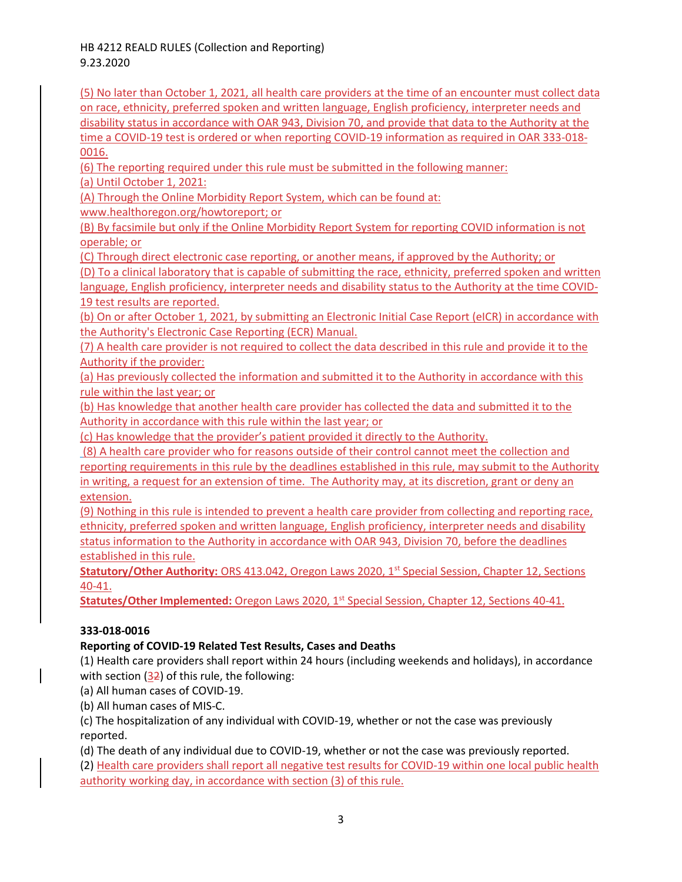HB 4212 REALD RULES (Collection and Reporting) 9.23.2020

(5) No later than October 1, 2021, all health care providers at the time of an encounter must collect data on race, ethnicity, preferred spoken and written language, English proficiency, interpreter needs and disability status in accordance with OAR 943, Division 70, and provide that data to the Authority at the time a COVID-19 test is ordered or when reporting COVID-19 information as required in OAR 333-018- 0016.

(6) The reporting required under this rule must be submitted in the following manner:

(a) Until October 1, 2021:

(A) Through the Online Morbidity Report System, which can be found at:

[www.healthoregon.org/howtoreport;](http://www.healthoregon.org/howtoreport) or

(B) By facsimile but only if the Online Morbidity Report System for reporting COVID information is not operable; or

(C) Through direct electronic case reporting, or another means, if approved by the Authority; or

(D) To a clinical laboratory that is capable of submitting the race, ethnicity, preferred spoken and written language, English proficiency, interpreter needs and disability status to the Authority at the time COVID-19 test results are reported.

(b) On or after October 1, 2021, by submitting an Electronic Initial Case Report (eICR) in accordance with the Authority's Electronic Case Reporting (ECR) Manual.

(7) A health care provider is not required to collect the data described in this rule and provide it to the Authority if the provider:

(a) Has previously collected the information and submitted it to the Authority in accordance with this rule within the last year; or

(b) Has knowledge that another health care provider has collected the data and submitted it to the Authority in accordance with this rule within the last year; or

(c) Has knowledge that the provider's patient provided it directly to the Authority.

(8) A health care provider who for reasons outside of their control cannot meet the collection and reporting requirements in this rule by the deadlines established in this rule, may submit to the Authority in writing, a request for an extension of time. The Authority may, at its discretion, grant or deny an extension.

(9) Nothing in this rule is intended to prevent a health care provider from collecting and reporting race, ethnicity, preferred spoken and written language, English proficiency, interpreter needs and disability status information to the Authority in accordance with OAR 943, Division 70, before the deadlines established in this rule.

**Statutory/Other Authority:** ORS 413.042, Oregon Laws 2020, 1st Special Session, Chapter 12, Sections 40-41.

**Statutes/Other Implemented:** Oregon Laws 2020, 1<sup>st</sup> Special Session, Chapter 12, Sections 40-41.

# **333-018-0016**

# **Reporting of COVID-19 Related Test Results, Cases and Deaths**

(1) Health care providers shall report within 24 hours (including weekends and holidays), in accordance with section (32) of this rule, the following:

(a) All human cases of COVID-19.

(b) All human cases of MIS-C.

(c) The hospitalization of any individual with COVID-19, whether or not the case was previously reported.

(d) The death of any individual due to COVID-19, whether or not the case was previously reported.

(2) Health care providers shall report all negative test results for COVID-19 within one local public health authority working day, in accordance with section (3) of this rule.